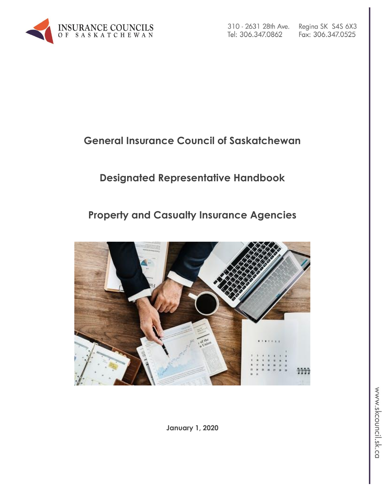

310 - 2631 28th Ave. Tel: 306.347.0862

Regina SK S4S 6X3 Fax: 306.347.0525

# **General Insurance Council of Saskatchewan**

# **Designated Representative Handbook**

# **Property and Casualty Insurance Agencies**



**January 1, 2020**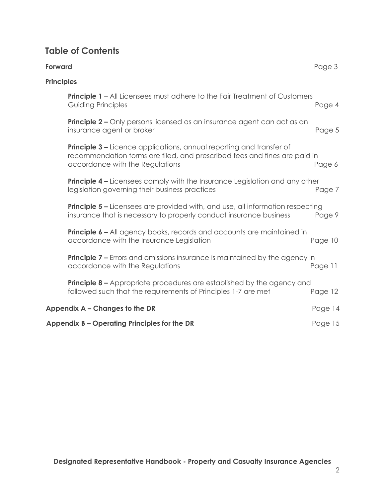## **Table of Contents**

| <b>Forward</b>                                                                                                                                                                              | Page 3  |
|---------------------------------------------------------------------------------------------------------------------------------------------------------------------------------------------|---------|
| <b>Principles</b>                                                                                                                                                                           |         |
| <b>Principle 1</b> – All Licensees must adhere to the Fair Treatment of Customers<br>Guiding Principles                                                                                     | Page 4  |
| <b>Principle 2 -</b> Only persons licensed as an insurance agent can act as an<br>insurance agent or broker                                                                                 | Page 5  |
| <b>Principle 3 –</b> Licence applications, annual reporting and transfer of<br>recommendation forms are filed, and prescribed fees and fines are paid in<br>accordance with the Regulations | Page 6  |
| <b>Principle 4 –</b> Licensees comply with the Insurance Legislation and any other<br>legislation governing their business practices                                                        | Page 7  |
| <b>Principle 5 –</b> Licensees are provided with, and use, all information respecting<br>insurance that is necessary to properly conduct insurance business                                 | Page 9  |
| <b>Principle 6 -</b> All agency books, records and accounts are maintained in<br>accordance with the Insurance Legislation                                                                  | Page 10 |
| <b>Principle 7 –</b> Errors and omissions insurance is maintained by the agency in<br>accordance with the Regulations                                                                       | Page 11 |
| <b>Principle 8 –</b> Appropriate procedures are established by the agency and<br>followed such that the requirements of Principles 1-7 are met                                              | Page 12 |
| Appendix A - Changes to the DR                                                                                                                                                              | Page 14 |
| Appendix B - Operating Principles for the DR                                                                                                                                                | Page 15 |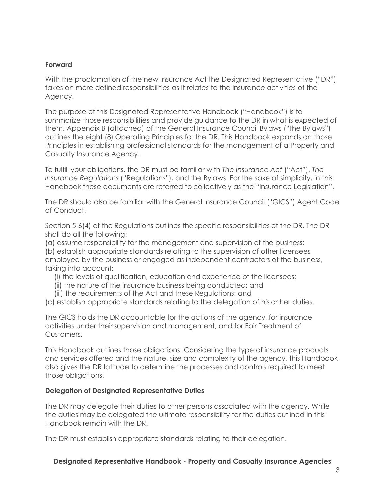#### **Forward**

With the proclamation of the new Insurance Act the Designated Representative ("DR") takes on more defined responsibilities as it relates to the insurance activities of the Agency.

The purpose of this Designated Representative Handbook ("Handbook") is to summarize those responsibilities and provide guidance to the DR in what is expected of them. Appendix B (attached) of the General Insurance Council Bylaws ("the Bylaws") outlines the eight (8) Operating Principles for the DR. This Handbook expands on those Principles in establishing professional standards for the management of a Property and Casualty Insurance Agency.

To fulfill your obligations, the DR must be familiar with *The Insurance Act* ("Act"), *The Insurance Regulations* ("Regulations"), and the Bylaws. For the sake of simplicity, in this Handbook these documents are referred to collectively as the "Insurance Legislation".

The DR should also be familiar with the General Insurance Council ("GICS") Agent Code of Conduct.

Section 5-6(4) of the Regulations outlines the specific responsibilities of the DR. The DR shall do all the following:

(a) assume responsibility for the management and supervision of the business;

(b) establish appropriate standards relating to the supervision of other licensees employed by the business or engaged as independent contractors of the business, taking into account:

- (i) the levels of qualification, education and experience of the licensees;
- (ii) the nature of the insurance business being conducted; and
- (iii) the requirements of the Act and these Regulations; and

(c) establish appropriate standards relating to the delegation of his or her duties.

The GICS holds the DR accountable for the actions of the agency, for insurance activities under their supervision and management, and for Fair Treatment of Customers.

This Handbook outlines those obligations. Considering the type of insurance products and services offered and the nature, size and complexity of the agency, this Handbook also gives the DR latitude to determine the processes and controls required to meet those obligations.

#### **Delegation of Designated Representative Duties**

The DR may delegate their duties to other persons associated with the agency. While the duties may be delegated the ultimate responsibility for the duties outlined in this Handbook remain with the DR.

The DR must establish appropriate standards relating to their delegation.

#### **Designated Representative Handbook - Property and Casualty Insurance Agencies**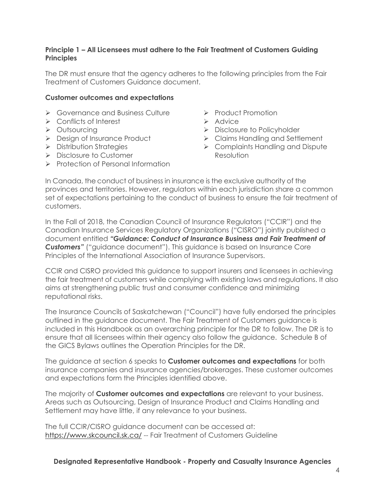#### **Principle 1 – All Licensees must adhere to the Fair Treatment of Customers Guiding Principles**

The DR must ensure that the agency adheres to the following principles from the Fair Treatment of Customers Guidance document.

#### **Customer outcomes and expectations**

- ➢ Governance and Business Culture
- ➢ Conflicts of Interest
- ➢ Outsourcing
- ➢ Design of Insurance Product
- ➢ Distribution Strategies
- ➢ Disclosure to Customer
- ➢ Protection of Personal Information
- ➢ Product Promotion
- ➢ Advice
- ➢ Disclosure to Policyholder
- ➢ Claims Handling and Settlement
- ➢ Complaints Handling and Dispute Resolution

In Canada, the conduct of business in insurance is the exclusive authority of the provinces and territories. However, regulators within each jurisdiction share a common set of expectations pertaining to the conduct of business to ensure the fair treatment of customers.

In the Fall of 2018, the Canadian Council of Insurance Regulators ("CCIR") and the Canadian Insurance Services Regulatory Organizations ("CISRO") jointly published a document entitled *"Guidance: Conduct of Insurance Business and Fair Treatment of Customers"* ("guidance document"). This guidance is based on Insurance Core Principles of the International Association of Insurance Supervisors.

CCIR and CISRO provided this guidance to support insurers and licensees in achieving the fair treatment of customers while complying with existing laws and regulations. It also aims at strengthening public trust and consumer confidence and minimizing reputational risks.

The Insurance Councils of Saskatchewan ("Council") have fully endorsed the principles outlined in the guidance document. The Fair Treatment of Customers guidance is included in this Handbook as an overarching principle for the DR to follow. The DR is to ensure that all licensees within their agency also follow the guidance. Schedule B of the GICS Bylaws outlines the Operation Principles for the DR.

The guidance at section 6 speaks to **Customer outcomes and expectations** for both insurance companies and insurance agencies/brokerages. These customer outcomes and expectations form the Principles identified above.

The majority of **Customer outcomes and expectations** are relevant to your business. Areas such as Outsourcing, Design of Insurance Product and Claims Handling and Settlement may have little, if any relevance to your business.

The full CCIR/CISRO guidance document can be accessed at: <https://www.skcouncil.sk.ca/> -- Fair Treatment of Customers Guideline

#### **Designated Representative Handbook - Property and Casualty Insurance Agencies**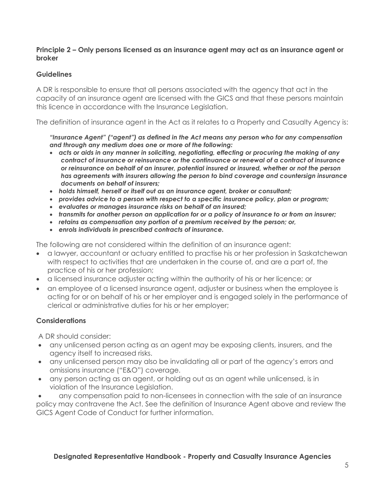#### **Principle 2 – Only persons licensed as an insurance agent may act as an insurance agent or broker**

### **Guidelines**

A DR is responsible to ensure that all persons associated with the agency that act in the capacity of an insurance agent are licensed with the GICS and that these persons maintain this licence in accordance with the Insurance Legislation.

The definition of insurance agent in the Act as it relates to a Property and Casualty Agency is:

*"Insurance Agent" ("agent") as defined in the Act means any person who for any compensation and through any medium does one or more of the following:* 

- *acts or aids in any manner in soliciting, negotiating, effecting or procuring the making of any contract of insurance or reinsurance or the continuance or renewal of a contract of insurance or reinsurance on behalf of an insurer, potential insured or insured, whether or not the person has agreements with insurers allowing the person to bind coverage and countersign insurance documents on behalf of insurers;*
- *holds himself, herself or itself out as an insurance agent, broker or consultant;*
- *provides advice to a person with respect to a specific insurance policy, plan or program;*
- *evaluates or manages insurance risks on behalf of an insured;*
- *transmits for another person an application for or a policy of insurance to or from an insurer;*
- *retains as compensation any portion of a premium received by the person; or,*
- *enrols individuals in prescribed contracts of insurance.*

The following are not considered within the definition of an insurance agent:

- a lawyer, accountant or actuary entitled to practise his or her profession in Saskatchewan with respect to activities that are undertaken in the course of, and are a part of, the practice of his or her profession;
- a licensed insurance adjuster acting within the authority of his or her licence; or
- an employee of a licensed insurance agent, adjuster or business when the employee is acting for or on behalf of his or her employer and is engaged solely in the performance of clerical or administrative duties for his or her employer;

#### **Considerations**

A DR should consider:

- any unlicensed person acting as an agent may be exposing clients, insurers, and the agency itself to increased risks.
- any unlicensed person may also be invalidating all or part of the agency's errors and omissions insurance ("E&O") coverage.
- any person acting as an agent, or holding out as an agent while unlicensed, is in violation of the Insurance Legislation.

• any compensation paid to non-licensees in connection with the sale of an insurance policy may contravene the Act. See the definition of Insurance Agent above and review the GICS Agent Code of Conduct for further information.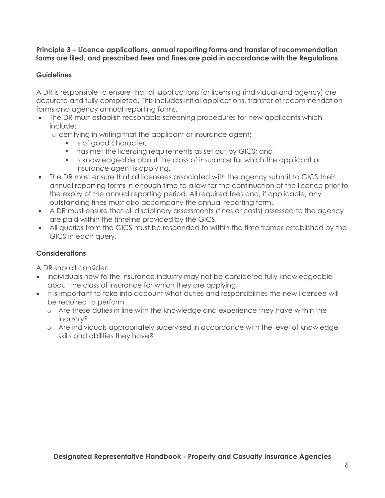#### **Principle 3 – Licence applications, annual reporting forms and transfer of recommendation forms are filed, and prescribed fees and fines are paid in accordance with the Regulations**

### **Guidelines**

A DR is responsible to ensure that all applications for licensing (individual and agency) are accurate and fully completed. This includes initial applications, transfer of recommendation forms and agency annual reporting forms.

- The DR must establish reasonable screening procedures for new applicants which include:
	- o certifying in writing that the applicant or insurance agent:
		- is of good character;
		- has met the licensing requirements as set out by GICS; and
		- is knowledgeable about the class of insurance for which the applicant or insurance agent is applying.
- The DR must ensure that all licensees associated with the agency submit to GICS their annual reporting forms in enough time to allow for the continuation of the licence prior to the expiry of the annual reporting period. All required fees and, if applicable, any outstanding fines must also accompany the annual reporting form.
- A DR must ensure that all disciplinary assessments (fines or costs) assessed to the agency are paid within the timeline provided by the GICS.
- All queries from the GICS must be responded to within the time frames established by the GICS in each query.

## **Considerations**

- individuals new to the insurance industry may not be considered fully knowledgeable about the class of insurance for which they are applying.
- it is important to take into account what duties and responsibilities the new licensee will be required to perform.
	- o Are these duties in line with the knowledge and experience they have within the industry?
	- o Are individuals appropriately supervised in accordance with the level of knowledge, skills and abilities they have?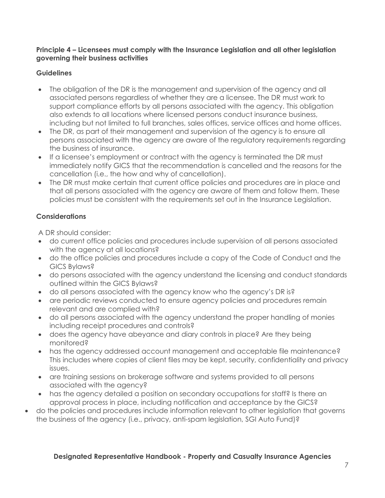#### **Principle 4 – Licensees must comply with the Insurance Legislation and all other legislation governing their business activities**

## **Guidelines**

- The obligation of the DR is the management and supervision of the agency and all associated persons regardless of whether they are a licensee. The DR must work to support compliance efforts by all persons associated with the agency. This obligation also extends to all locations where licensed persons conduct insurance business, including but not limited to full branches, sales offices, service offices and home offices.
- The DR, as part of their management and supervision of the agency is to ensure all persons associated with the agency are aware of the regulatory requirements regarding the business of insurance.
- If a licensee's employment or contract with the agency is terminated the DR must immediately notify GICS that the recommendation is cancelled and the reasons for the cancellation (i.e., the how and why of cancellation).
- The DR must make certain that current office policies and procedures are in place and that all persons associated with the agency are aware of them and follow them. These policies must be consistent with the requirements set out in the Insurance Legislation.

## **Considerations**

- do current office policies and procedures include supervision of all persons associated with the agency at all locations?
- do the office policies and procedures include a copy of the Code of Conduct and the GICS Bylaws?
- do persons associated with the agency understand the licensing and conduct standards outlined within the GICS Bylaws?
- do all persons associated with the agency know who the agency's DR is?
- are periodic reviews conducted to ensure agency policies and procedures remain relevant and are complied with?
- do all persons associated with the agency understand the proper handling of monies including receipt procedures and controls?
- does the agency have abeyance and diary controls in place? Are they being monitored?
- has the agency addressed account management and acceptable file maintenance? This includes where copies of client files may be kept, security, confidentiality and privacy issues.
- are training sessions on brokerage software and systems provided to all persons associated with the agency?
- has the agency detailed a position on secondary occupations for staff? Is there an approval process in place, including notification and acceptance by the GICS?
- do the policies and procedures include information relevant to other legislation that governs the business of the agency (i.e., privacy, anti-spam legislation, SGI Auto Fund)?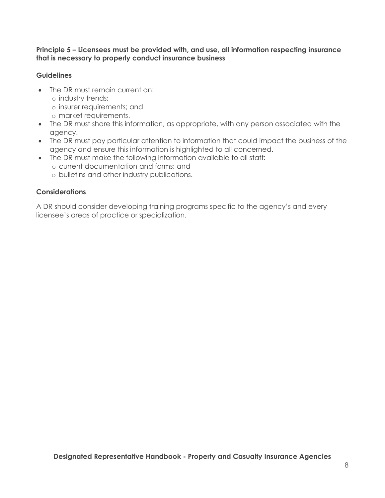#### **Principle 5 – Licensees must be provided with, and use, all information respecting insurance that is necessary to properly conduct insurance business**

#### **Guidelines**

- The DR must remain current on:
	- o industry trends;
	- o insurer requirements; and
	- o market requirements.
- The DR must share this information, as appropriate, with any person associated with the agency.
- The DR must pay particular attention to information that could impact the business of the agency and ensure this information is highlighted to all concerned.
- The DR must make the following information available to all staff:
	- o current documentation and forms; and
	- o bulletins and other industry publications.

## **Considerations**

A DR should consider developing training programs specific to the agency's and every licensee's areas of practice or specialization.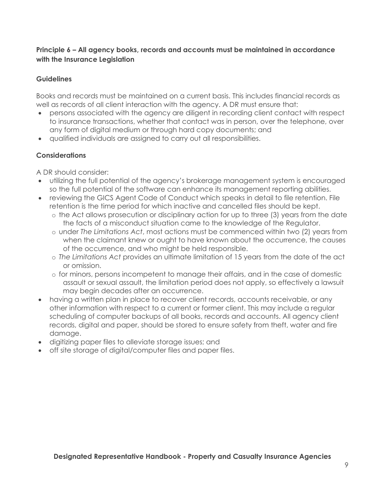## **Principle 6 – All agency books, records and accounts must be maintained in accordance with the Insurance Legislation**

## **Guidelines**

Books and records must be maintained on a current basis. This includes financial records as well as records of all client interaction with the agency. A DR must ensure that:

- persons associated with the agency are diligent in recording client contact with respect to insurance transactions, whether that contact was in person, over the telephone, over any form of digital medium or through hard copy documents; and
- qualified individuals are assigned to carry out all responsibilities.

## **Considerations**

- utilizing the full potential of the agency's brokerage management system is encouraged so the full potential of the software can enhance its management reporting abilities.
- reviewing the GICS Agent Code of Conduct which speaks in detail to file retention. File retention is the time period for which inactive and cancelled files should be kept.
	- o the Act allows prosecution or disciplinary action for up to three (3) years from the date the facts of a misconduct situation came to the knowledge of the Regulator.
	- o under *The Limitations Act*, most actions must be commenced within two (2) years from when the claimant knew or ought to have known about the occurrence, the causes of the occurrence, and who might be held responsible.
	- o *The Limitations Act* provides an ultimate limitation of 15 years from the date of the act or omission.
	- o for minors, persons incompetent to manage their affairs, and in the case of domestic assault or sexual assault, the limitation period does not apply, so effectively a lawsuit may begin decades after an occurrence.
- having a written plan in place to recover client records, accounts receivable, or any other information with respect to a current or former client. This may include a regular scheduling of computer backups of all books, records and accounts. All agency client records, digital and paper, should be stored to ensure safety from theft, water and fire damage.
- digitizing paper files to alleviate storage issues; and
- off site storage of digital/computer files and paper files.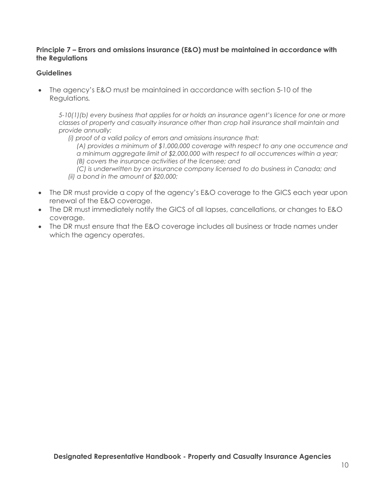#### **Principle 7 – Errors and omissions insurance (E&O) must be maintained in accordance with the Regulations**

#### **Guidelines**

• The agency's E&O must be maintained in accordance with section 5-10 of the Regulations*.*

*5-10(1)(b) every business that applies for or holds an insurance agent's licence for one or more classes of property and casualty insurance other than crop hail insurance shall maintain and provide annually:* 

*(i) proof of a valid policy of errors and omissions insurance that:* 

*(A) provides a minimum of \$1,000,000 coverage with respect to any one occurrence and a minimum aggregate limit of \$2,000,000 with respect to all occurrences within a year; (B) covers the insurance activities of the licensee; and* 

- *(C) is underwritten by an insurance company licensed to do business in Canada; and (ii) a bond in the amount of \$20,000;*
- The DR must provide a copy of the agency's E&O coverage to the GICS each year upon renewal of the E&O coverage.
- The DR must immediately notify the GICS of all lapses, cancellations, or changes to E&O coverage.
- The DR must ensure that the E&O coverage includes all business or trade names under which the agency operates.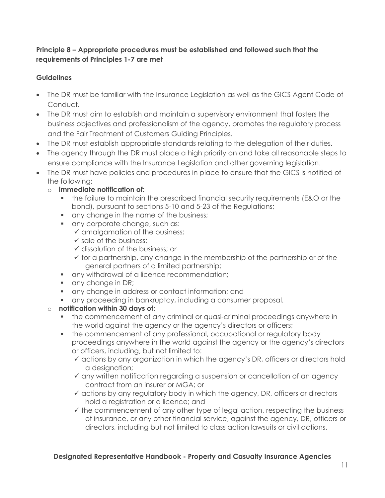## **Principle 8 – Appropriate procedures must be established and followed such that the requirements of Principles 1-7 are met**

## **Guidelines**

- The DR must be familiar with the Insurance Legislation as well as the GICS Agent Code of Conduct.
- The DR must aim to establish and maintain a supervisory environment that fosters the business objectives and professionalism of the agency, promotes the regulatory process and the Fair Treatment of Customers Guiding Principles.
- The DR must establish appropriate standards relating to the delegation of their duties.
- The agency through the DR must place a high priority on and take all reasonable steps to ensure compliance with the Insurance Legislation and other governing legislation.
- The DR must have policies and procedures in place to ensure that the GICS is notified of the following:
	- o **immediate notification of:**
		- the failure to maintain the prescribed financial security requirements (E&O or the bond), pursuant to sections 5-10 and 5-23 of the Regulations;
		- any change in the name of the business;
		- **any corporate change, such as:** 
			- $\checkmark$  amalgamation of the business;
			- ✓ sale of the business;
			- ✓ dissolution of the business; or
			- $\checkmark$  for a partnership, any change in the membership of the partnership or of the general partners of a limited partnership;
		- **any withdrawal of a licence recommendation;**
		- **•** any change in DR;
		- any change in address or contact information; and
		- any proceeding in bankruptcy, including a consumer proposal.
	- o **notification within 30 days of:**
		- the commencement of any criminal or quasi-criminal proceedings anywhere in the world against the agency or the agency's directors or officers;
		- the commencement of any professional, occupational or regulatory body proceedings anywhere in the world against the agency or the agency's directors or officers, including, but not limited to:
			- ✓ actions by any organization in which the agency's DR, officers or directors hold a designation;
			- ✓ any written notification regarding a suspension or cancellation of an agency contract from an insurer or MGA; or
			- ✓ actions by any regulatory body in which the agency, DR, officers or directors hold a registration or a licence; and
			- ✓ the commencement of any other type of legal action, respecting the business of insurance, or any other financial service, against the agency, DR, officers or directors, including but not limited to class action lawsuits or civil actions.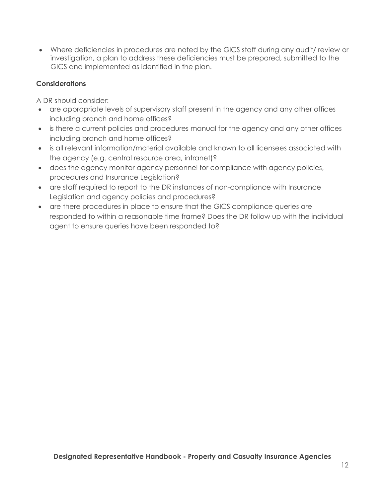• Where deficiencies in procedures are noted by the GICS staff during any audit/ review or investigation, a plan to address these deficiencies must be prepared, submitted to the GICS and implemented as identified in the plan.

## **Considerations**

- are appropriate levels of supervisory staff present in the agency and any other offices including branch and home offices?
- is there a current policies and procedures manual for the agency and any other offices including branch and home offices?
- is all relevant information/material available and known to all licensees associated with the agency (e.g. central resource area, intranet)?
- does the agency monitor agency personnel for compliance with agency policies, procedures and Insurance Legislation?
- are staff required to report to the DR instances of non-compliance with Insurance Legislation and agency policies and procedures?
- are there procedures in place to ensure that the GICS compliance queries are responded to within a reasonable time frame? Does the DR follow up with the individual agent to ensure queries have been responded to?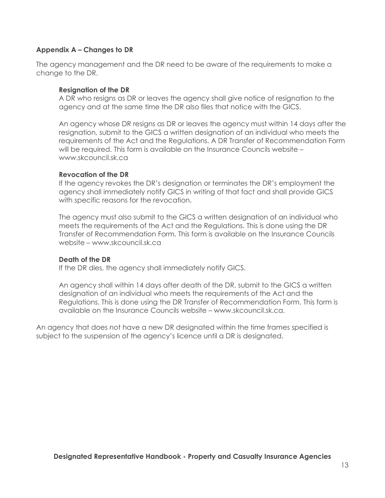#### **Appendix A – Changes to DR**

The agency management and the DR need to be aware of the requirements to make a change to the DR.

#### **Resignation of the DR**

A DR who resigns as DR or leaves the agency shall give notice of resignation to the agency and at the same time the DR also files that notice with the GICS.

An agency whose DR resigns as DR or leaves the agency must within 14 days after the resignation, submit to the GICS a written designation of an individual who meets the requirements of the Act and the Regulations. A DR Transfer of Recommendation Form will be required. This form is available on the Insurance Councils website www.skcouncil.sk.ca

#### **Revocation of the DR**

If the agency revokes the DR's designation or terminates the DR's employment the agency shall immediately notify GICS in writing of that fact and shall provide GICS with specific reasons for the revocation.

The agency must also submit to the GICS a written designation of an individual who meets the requirements of the Act and the Regulations. This is done using the DR Transfer of Recommendation Form. This form is available on the Insurance Councils website – www.skcouncil.sk.ca

#### **Death of the DR**

If the DR dies, the agency shall immediately notify GICS.

An agency shall within 14 days after death of the DR, submit to the GICS a written designation of an individual who meets the requirements of the Act and the Regulations. This is done using the DR Transfer of Recommendation Form. This form is available on the Insurance Councils website – www.skcouncil.sk.ca.

An agency that does not have a new DR designated within the time frames specified is subject to the suspension of the agency's licence until a DR is designated.